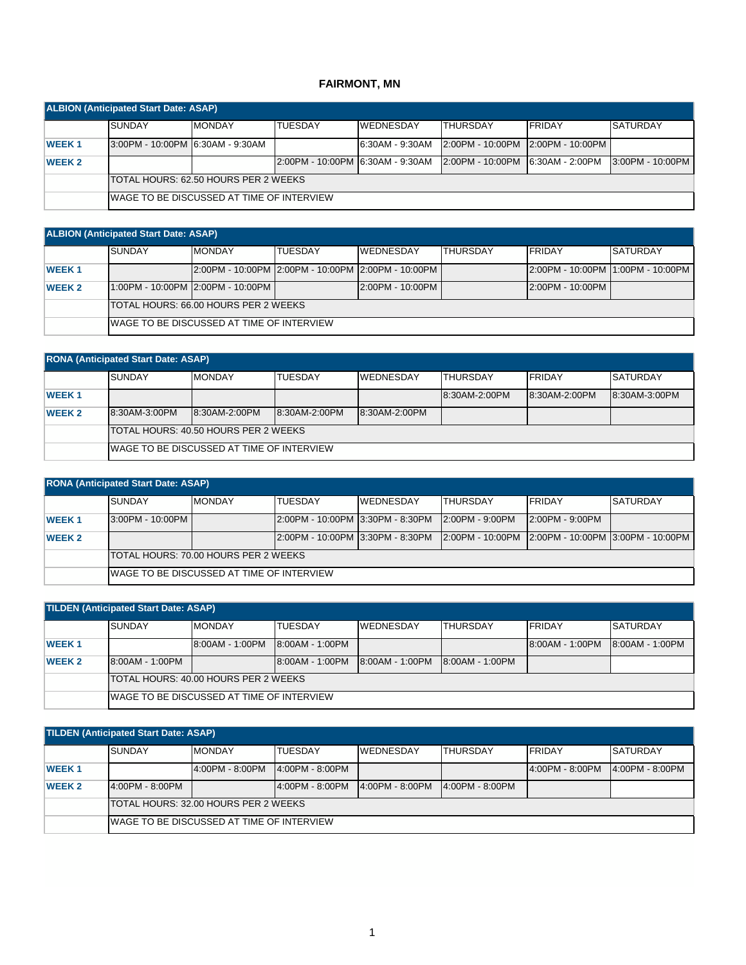## **FAIRMONT, MN**

| <b>ALBION (Anticipated Start Date: ASAP)</b> |                                       |                                                   |                                    |                  |                                    |                |                  |  |  |
|----------------------------------------------|---------------------------------------|---------------------------------------------------|------------------------------------|------------------|------------------------------------|----------------|------------------|--|--|
|                                              | <b>ISUNDAY</b>                        | <b>MONDAY</b>                                     | <b>TUESDAY</b>                     | <b>WEDNESDAY</b> | <b>THURSDAY</b>                    | <b>IFRIDAY</b> | <b>SATURDAY</b>  |  |  |
| <b>WEEK1</b>                                 | 3:00PM - 10:00PM 6:30AM - 9:30AM      |                                                   |                                    | 6:30AM - 9:30AM  | 2:00PM - 10:00PM 12:00PM - 10:00PM |                |                  |  |  |
| <b>WEEK 2</b>                                |                                       |                                                   | l2:00PM - 10:00PM l6:30AM - 9:30AM |                  | 2:00PM - 10:00PM 6:30AM - 2:00PM   |                | 3:00PM - 10:00PM |  |  |
|                                              | ITOTAL HOURS: 62.50 HOURS PER 2 WEEKS |                                                   |                                    |                  |                                    |                |                  |  |  |
|                                              |                                       | <b>IWAGE TO BE DISCUSSED AT TIME OF INTERVIEW</b> |                                    |                  |                                    |                |                  |  |  |

| <b>ALBION (Anticipated Start Date: ASAP)</b> |                                       |                                            |                |                                                    |                  |                                    |                 |  |  |  |
|----------------------------------------------|---------------------------------------|--------------------------------------------|----------------|----------------------------------------------------|------------------|------------------------------------|-----------------|--|--|--|
|                                              | <b>SUNDAY</b>                         | <b>MONDAY</b>                              | <b>TUESDAY</b> | <b>WEDNESDAY</b>                                   | <b>ITHURSDAY</b> | <b>FRIDAY</b>                      | <b>SATURDAY</b> |  |  |  |
| <b>WEEK1</b>                                 |                                       |                                            |                | 2:00PM - 10:00PM 2:00PM - 10:00PM 2:00PM - 10:00PM |                  | 2:00PM - 10:00PM 11:00PM - 10:00PM |                 |  |  |  |
| <b>WEEK 2</b>                                |                                       | 1:00PM - 10:00PM 2:00PM - 10:00PM I        |                | $2:00PM - 10:00PM$                                 |                  | $2:00PM - 10:00PM$                 |                 |  |  |  |
|                                              | ITOTAL HOURS: 66.00 HOURS PER 2 WEEKS |                                            |                |                                                    |                  |                                    |                 |  |  |  |
|                                              |                                       | IWAGE TO BE DISCUSSED AT TIME OF INTERVIEW |                |                                                    |                  |                                    |                 |  |  |  |

|  | <b>RONA (Anticipated Start Date: ASAP)</b> |               |              |
|--|--------------------------------------------|---------------|--------------|
|  | <b>SUNDAY</b>                              | <b>MONDAY</b> | <b>TUESI</b> |

|               | <b>SUNDAY</b>                              | <b>MONDAY</b> | <b>TUESDAY</b> | <b>IWEDNESDAY</b> | ITHURSDAY     | <b>FRIDAY</b> | <b>SATURDAY</b> |  |  |  |
|---------------|--------------------------------------------|---------------|----------------|-------------------|---------------|---------------|-----------------|--|--|--|
| <b>WEEK1</b>  |                                            |               |                |                   | 8:30AM-2:00PM | 8:30AM-2:00PM | 8:30AM-3:00PM   |  |  |  |
| <b>WEEK 2</b> | 8:30AM-3:00PM                              | 8:30AM-2:00PM | 8:30AM-2:00PM  | 8:30AM-2:00PM     |               |               |                 |  |  |  |
|               | ITOTAL HOURS: 40.50 HOURS PER 2 WEEKS      |               |                |                   |               |               |                 |  |  |  |
|               | IWAGE TO BE DISCUSSED AT TIME OF INTERVIEW |               |                |                   |               |               |                 |  |  |  |

| <b>RONA (Anticipated Start Date: ASAP)</b> |                                              |                                            |                                  |                  |                                                    |                   |                 |  |  |  |
|--------------------------------------------|----------------------------------------------|--------------------------------------------|----------------------------------|------------------|----------------------------------------------------|-------------------|-----------------|--|--|--|
|                                            | <b>SUNDAY</b>                                | <b>MONDAY</b>                              | <b>TUESDAY</b>                   | <b>WEDNESDAY</b> | <b>THURSDAY</b>                                    | <b>FRIDAY</b>     | <b>SATURDAY</b> |  |  |  |
| <b>WEEK1</b>                               | 3:00PM - 10:00PM                             |                                            | 2:00PM - 10:00PM 3:30PM - 8:30PM |                  | $2:00PM - 9:00PM$                                  | $2:00PM - 9:00PM$ |                 |  |  |  |
| <b>WEEK 2</b>                              |                                              |                                            | 2:00PM - 10:00PM 3:30PM - 8:30PM |                  | 2:00PM - 10:00PM 2:00PM - 10:00PM 3:00PM - 10:00PM |                   |                 |  |  |  |
|                                            | <b>ITOTAL HOURS: 70.00 HOURS PER 2 WEEKS</b> |                                            |                                  |                  |                                                    |                   |                 |  |  |  |
|                                            |                                              | IWAGE TO BE DISCUSSED AT TIME OF INTERVIEW |                                  |                  |                                                    |                   |                 |  |  |  |

| <b>TILDEN (Anticipated Start Date: ASAP)</b> |                                             |                                            |                 |                  |                   |                 |                 |  |  |  |
|----------------------------------------------|---------------------------------------------|--------------------------------------------|-----------------|------------------|-------------------|-----------------|-----------------|--|--|--|
|                                              | <b>SUNDAY</b>                               | <b>MONDAY</b>                              | <b>TUESDAY</b>  | <b>WEDNESDAY</b> | <b>THURSDAY</b>   | FRIDAY          | <b>SATURDAY</b> |  |  |  |
| <b>WEEK1</b>                                 |                                             | 8:00AM - 1:00PM                            | 8:00AM - 1:00PM |                  |                   | 8:00AM - 1:00PM | 8:00AM - 1:00PM |  |  |  |
| <b>WEEK 2</b>                                | 8:00AM - 1:00PM                             |                                            | 8:00AM - 1:00PM | 18:00AM - 1:00PM | $8:00AM - 1:00PM$ |                 |                 |  |  |  |
|                                              | <b>TOTAL HOURS: 40.00 HOURS PER 2 WEEKS</b> |                                            |                 |                  |                   |                 |                 |  |  |  |
|                                              |                                             | IWAGE TO BE DISCUSSED AT TIME OF INTERVIEW |                 |                  |                   |                 |                 |  |  |  |

| <b>TILDEN (Anticipated Start Date: ASAP)</b> |                                              |                                            |                   |                  |                   |                   |                   |  |  |  |
|----------------------------------------------|----------------------------------------------|--------------------------------------------|-------------------|------------------|-------------------|-------------------|-------------------|--|--|--|
|                                              | <b>SUNDAY</b>                                | <b>MONDAY</b>                              | <b>TUESDAY</b>    | <b>WEDNESDAY</b> | <b>THURSDAY</b>   | <b>FRIDAY</b>     | <b>SATURDAY</b>   |  |  |  |
| <b>WEEK1</b>                                 |                                              | 4:00PM - 8:00PM                            | $4:00PM - 8:00PM$ |                  |                   | $4:00PM - 8:00PM$ | $4:00PM - 8:00PM$ |  |  |  |
| <b>WEEK 2</b>                                | 4:00PM - 8:00PM                              |                                            | 4:00PM - 8:00PM   | 4:00PM - 8:00PM  | $4:00PM - 8:00PM$ |                   |                   |  |  |  |
|                                              | <b>ITOTAL HOURS: 32.00 HOURS PER 2 WEEKS</b> |                                            |                   |                  |                   |                   |                   |  |  |  |
|                                              |                                              | IWAGE TO BE DISCUSSED AT TIME OF INTERVIEW |                   |                  |                   |                   |                   |  |  |  |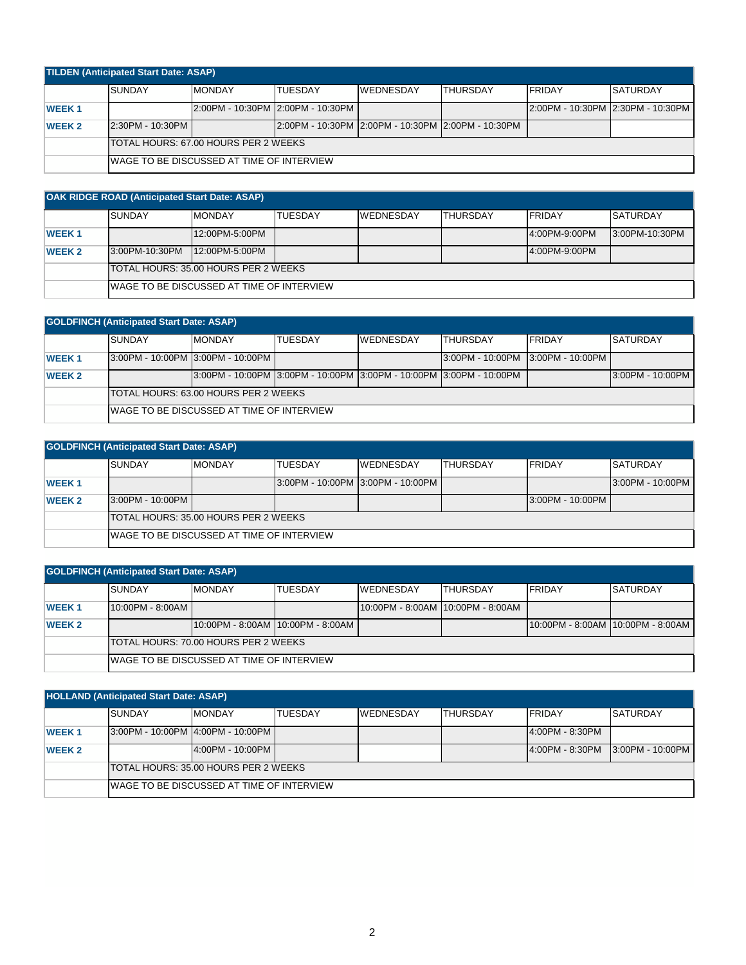| <b>TILDEN (Anticipated Start Date: ASAP)</b> |                                       |                                            |                                                      |                  |           |                |                                       |  |  |  |
|----------------------------------------------|---------------------------------------|--------------------------------------------|------------------------------------------------------|------------------|-----------|----------------|---------------------------------------|--|--|--|
|                                              | <b>SUNDAY</b>                         | <b>MONDAY</b>                              | <b>TUESDAY</b>                                       | <b>WEDNESDAY</b> | ITHURSDAY | <b>IFRIDAY</b> | <b>SATURDAY</b>                       |  |  |  |
| <b>WEEK1</b>                                 |                                       |                                            | l2:00PM - 10:30PM l2:00PM - 10:30PM                  |                  |           |                | l2:00PM - 10:30PM l2:30PM - 10:30PM l |  |  |  |
| <b>WEEK 2</b>                                | 2:30PM - 10:30PM                      |                                            | 2:00PM - 10:30PM I2:00PM - 10:30PM I2:00PM - 10:30PM |                  |           |                |                                       |  |  |  |
|                                              | ITOTAL HOURS: 67.00 HOURS PER 2 WEEKS |                                            |                                                      |                  |           |                |                                       |  |  |  |
|                                              |                                       | IWAGE TO BE DISCUSSED AT TIME OF INTERVIEW |                                                      |                  |           |                |                                       |  |  |  |

| <b>OAK RIDGE ROAD (Anticipated Start Date: ASAP)</b> |                                       |                                            |                |                  |                 |               |                 |  |  |  |  |
|------------------------------------------------------|---------------------------------------|--------------------------------------------|----------------|------------------|-----------------|---------------|-----------------|--|--|--|--|
|                                                      | <b>SUNDAY</b>                         | <b>MONDAY</b>                              | <b>TUESDAY</b> | <b>WEDNESDAY</b> | <b>THURSDAY</b> | <b>FRIDAY</b> | <b>SATURDAY</b> |  |  |  |  |
| <b>WEEK1</b>                                         |                                       | 12:00PM-5:00PM                             |                |                  |                 | 4:00PM-9:00PM | 13:00PM-10:30PM |  |  |  |  |
| <b>WEEK 2</b>                                        | 3:00PM-10:30PM                        | 12:00PM-5:00PM                             |                |                  |                 | 4:00PM-9:00PM |                 |  |  |  |  |
|                                                      | ITOTAL HOURS: 35.00 HOURS PER 2 WEEKS |                                            |                |                  |                 |               |                 |  |  |  |  |
|                                                      |                                       | IWAGE TO BE DISCUSSED AT TIME OF INTERVIEW |                |                  |                 |               |                 |  |  |  |  |

| <b>GOLDFINCH (Anticipated Start Date: ASAP)</b> |                                            |                                                                         |                |                  |                                   |               |                  |  |  |  |
|-------------------------------------------------|--------------------------------------------|-------------------------------------------------------------------------|----------------|------------------|-----------------------------------|---------------|------------------|--|--|--|
|                                                 | <b>SUNDAY</b>                              | <b>MONDAY</b>                                                           | <b>TUESDAY</b> | <b>WEDNESDAY</b> | <b>THURSDAY</b>                   | <b>FRIDAY</b> | <b>SATURDAY</b>  |  |  |  |
| <b>WEEK1</b>                                    | 3:00PM - 10:00PM 3:00PM - 10:00PM          |                                                                         |                |                  | 3:00PM - 10:00PM 3:00PM - 10:00PM |               |                  |  |  |  |
| <b>WEEK 2</b>                                   |                                            | 13:00PM - 10:00PM 13:00PM - 10:00PM 13:00PM - 10:00PM 13:00PM - 10:00PM |                |                  |                                   |               | 3:00PM - 10:00PM |  |  |  |
|                                                 | TOTAL HOURS: 63.00 HOURS PER 2 WEEKS       |                                                                         |                |                  |                                   |               |                  |  |  |  |
|                                                 | IWAGE TO BE DISCUSSED AT TIME OF INTERVIEW |                                                                         |                |                  |                                   |               |                  |  |  |  |

| <b>GOLDFINCH (Anticipated Start Date: ASAP)</b> |                                            |               |                |                                   |                 |                  |                  |  |  |  |
|-------------------------------------------------|--------------------------------------------|---------------|----------------|-----------------------------------|-----------------|------------------|------------------|--|--|--|
|                                                 | <b>SUNDAY</b>                              | <b>MONDAY</b> | <b>TUESDAY</b> | <b>WEDNESDAY</b>                  | <b>THURSDAY</b> | <b>FRIDAY</b>    | <b>SATURDAY</b>  |  |  |  |
| <b>WEEK1</b>                                    |                                            |               |                | 3:00PM - 10:00PM 3:00PM - 10:00PM |                 |                  | 3:00PM - 10:00PM |  |  |  |
| <b>WEEK 2</b>                                   | 3:00PM - 10:00PM                           |               |                |                                   |                 | 3:00PM - 10:00PM |                  |  |  |  |
|                                                 | TOTAL HOURS: 35.00 HOURS PER 2 WEEKS       |               |                |                                   |                 |                  |                  |  |  |  |
|                                                 | IWAGE TO BE DISCUSSED AT TIME OF INTERVIEW |               |                |                                   |                 |                  |                  |  |  |  |

| <b>GOLDFINCH (Anticipated Start Date: ASAP)</b> |                                              |                                            |                |                                     |                 |                |                                     |  |  |  |
|-------------------------------------------------|----------------------------------------------|--------------------------------------------|----------------|-------------------------------------|-----------------|----------------|-------------------------------------|--|--|--|
|                                                 | <b>ISUNDAY</b>                               | <b>MONDAY</b>                              | <b>TUESDAY</b> | <b>IWEDNESDAY</b>                   | <b>THURSDAY</b> | <b>IFRIDAY</b> | <b>SATURDAY</b>                     |  |  |  |
| <b>WEEK1</b>                                    | 10:00PM - 8:00AM                             |                                            |                | 10:00PM - 8:00AM   10:00PM - 8:00AM |                 |                |                                     |  |  |  |
| <b>WEEK 2</b>                                   |                                              | 10:00PM - 8:00AM 10:00PM - 8:00AM          |                |                                     |                 |                | 10:00PM - 8:00AM   10:00PM - 8:00AM |  |  |  |
|                                                 | <b>ITOTAL HOURS: 70.00 HOURS PER 2 WEEKS</b> |                                            |                |                                     |                 |                |                                     |  |  |  |
|                                                 |                                              | IWAGE TO BE DISCUSSED AT TIME OF INTERVIEW |                |                                     |                 |                |                                     |  |  |  |

| <b>HOLLAND (Anticipated Start Date: ASAP)</b> |                                                   |                  |                |                  |                 |                   |                   |  |  |  |  |  |
|-----------------------------------------------|---------------------------------------------------|------------------|----------------|------------------|-----------------|-------------------|-------------------|--|--|--|--|--|
|                                               | <b>SUNDAY</b>                                     | <b>MONDAY</b>    | <b>TUESDAY</b> | <b>WEDNESDAY</b> | <b>THURSDAY</b> | <b>IFRIDAY</b>    | <b>SATURDAY</b>   |  |  |  |  |  |
| <b>WEEK1</b>                                  | 3:00PM - 10:00PM 4:00PM - 10:00PM                 |                  |                |                  |                 | $4:00PM - 8:30PM$ |                   |  |  |  |  |  |
| <b>WEEK 2</b>                                 |                                                   | 4:00PM - 10:00PM |                |                  |                 | $4:00PM - 8:30PM$ | 13:00PM - 10:00PM |  |  |  |  |  |
|                                               | ITOTAL HOURS: 35.00 HOURS PER 2 WEEKS             |                  |                |                  |                 |                   |                   |  |  |  |  |  |
|                                               | <b>IWAGE TO BE DISCUSSED AT TIME OF INTERVIEW</b> |                  |                |                  |                 |                   |                   |  |  |  |  |  |